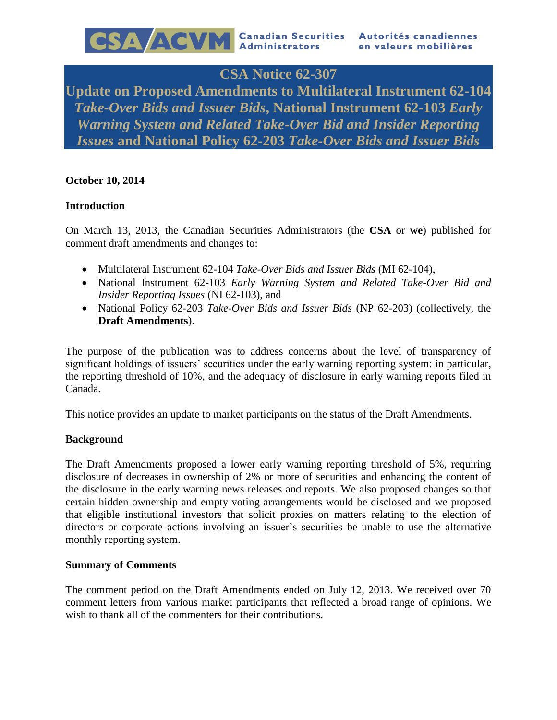# **CSA Notice 62-307**

**Update on Proposed Amendments to Multilateral Instrument 62-104** *Take-Over Bids and Issuer Bids***, National Instrument 62-103** *Early Warning System and Related Take-Over Bid and Insider Reporting Issues* **and National Policy 62-203** *Take-Over Bids and Issuer Bids*

## **October 10, 2014**

### **Introduction**

On March 13, 2013, the Canadian Securities Administrators (the **CSA** or **we**) published for comment draft amendments and changes to:

- Multilateral Instrument 62-104 *Take-Over Bids and Issuer Bids* (MI 62-104),
- National Instrument 62-103 *Early Warning System and Related Take-Over Bid and Insider Reporting Issues* (NI 62-103), and
- National Policy 62-203 *Take-Over Bids and Issuer Bids* (NP 62-203) (collectively, the **Draft Amendments**).

The purpose of the publication was to address concerns about the level of transparency of significant holdings of issuers' securities under the early warning reporting system: in particular, the reporting threshold of 10%, and the adequacy of disclosure in early warning reports filed in Canada.

This notice provides an update to market participants on the status of the Draft Amendments.

## **Background**

The Draft Amendments proposed a lower early warning reporting threshold of 5%, requiring disclosure of decreases in ownership of 2% or more of securities and enhancing the content of the disclosure in the early warning news releases and reports. We also proposed changes so that certain hidden ownership and empty voting arrangements would be disclosed and we proposed that eligible institutional investors that solicit proxies on matters relating to the election of directors or corporate actions involving an issuer's securities be unable to use the alternative monthly reporting system.

#### **Summary of Comments**

The comment period on the Draft Amendments ended on July 12, 2013. We received over 70 comment letters from various market participants that reflected a broad range of opinions. We wish to thank all of the commenters for their contributions.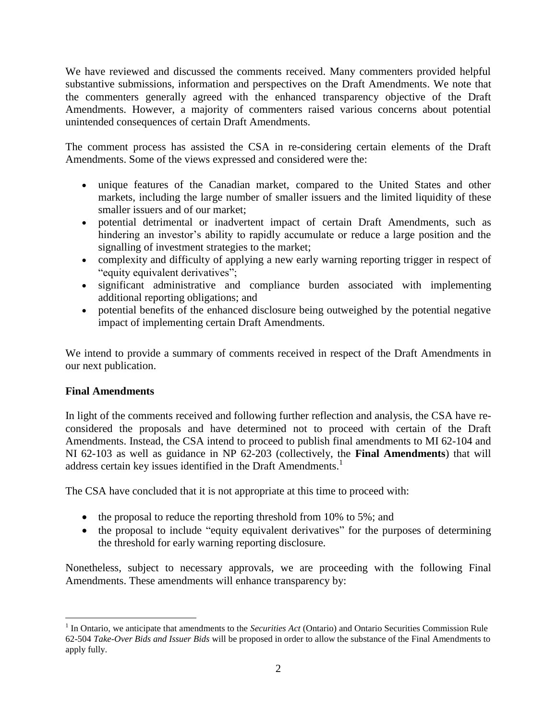We have reviewed and discussed the comments received. Many commenters provided helpful substantive submissions, information and perspectives on the Draft Amendments. We note that the commenters generally agreed with the enhanced transparency objective of the Draft Amendments. However, a majority of commenters raised various concerns about potential unintended consequences of certain Draft Amendments.

The comment process has assisted the CSA in re-considering certain elements of the Draft Amendments. Some of the views expressed and considered were the:

- unique features of the Canadian market, compared to the United States and other markets, including the large number of smaller issuers and the limited liquidity of these smaller issuers and of our market;
- potential detrimental or inadvertent impact of certain Draft Amendments, such as hindering an investor's ability to rapidly accumulate or reduce a large position and the signalling of investment strategies to the market;
- complexity and difficulty of applying a new early warning reporting trigger in respect of "equity equivalent derivatives";
- significant administrative and compliance burden associated with implementing additional reporting obligations; and
- potential benefits of the enhanced disclosure being outweighed by the potential negative impact of implementing certain Draft Amendments.

We intend to provide a summary of comments received in respect of the Draft Amendments in our next publication.

## **Final Amendments**

 $\overline{a}$ 

In light of the comments received and following further reflection and analysis, the CSA have reconsidered the proposals and have determined not to proceed with certain of the Draft Amendments. Instead, the CSA intend to proceed to publish final amendments to MI 62-104 and NI 62-103 as well as guidance in NP 62-203 (collectively, the **Final Amendments**) that will address certain key issues identified in the Draft Amendments.<sup>1</sup>

The CSA have concluded that it is not appropriate at this time to proceed with:

- $\bullet$  the proposal to reduce the reporting threshold from 10% to 5%; and
- the proposal to include "equity equivalent derivatives" for the purposes of determining the threshold for early warning reporting disclosure.

Nonetheless, subject to necessary approvals, we are proceeding with the following Final Amendments. These amendments will enhance transparency by:

<sup>&</sup>lt;sup>1</sup> In Ontario, we anticipate that amendments to the *Securities Act* (Ontario) and Ontario Securities Commission Rule 62-504 *Take-Over Bids and Issuer Bids* will be proposed in order to allow the substance of the Final Amendments to apply fully.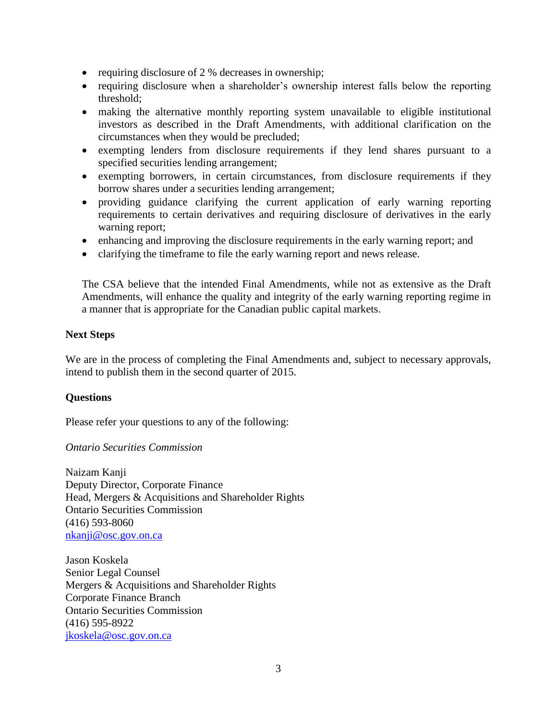- requiring disclosure of 2 % decreases in ownership;
- requiring disclosure when a shareholder's ownership interest falls below the reporting threshold;
- making the alternative monthly reporting system unavailable to eligible institutional investors as described in the Draft Amendments, with additional clarification on the circumstances when they would be precluded;
- exempting lenders from disclosure requirements if they lend shares pursuant to a specified securities lending arrangement;
- exempting borrowers, in certain circumstances, from disclosure requirements if they borrow shares under a securities lending arrangement;
- providing guidance clarifying the current application of early warning reporting requirements to certain derivatives and requiring disclosure of derivatives in the early warning report;
- enhancing and improving the disclosure requirements in the early warning report; and
- clarifying the timeframe to file the early warning report and news release.

The CSA believe that the intended Final Amendments, while not as extensive as the Draft Amendments, will enhance the quality and integrity of the early warning reporting regime in a manner that is appropriate for the Canadian public capital markets.

### **Next Steps**

We are in the process of completing the Final Amendments and, subject to necessary approvals, intend to publish them in the second quarter of 2015.

## **Questions**

Please refer your questions to any of the following:

*Ontario Securities Commission*

Naizam Kanji Deputy Director, Corporate Finance Head, Mergers & Acquisitions and Shareholder Rights Ontario Securities Commission (416) 593-8060 [nkanji@osc.gov.on.ca](mailto:nkanji@osc.gov.on.ca)

Jason Koskela Senior Legal Counsel Mergers & Acquisitions and Shareholder Rights Corporate Finance Branch Ontario Securities Commission (416) 595-8922 [jkoskela@osc.gov.on.ca](mailto:jkoskela@osc.gov.on.ca)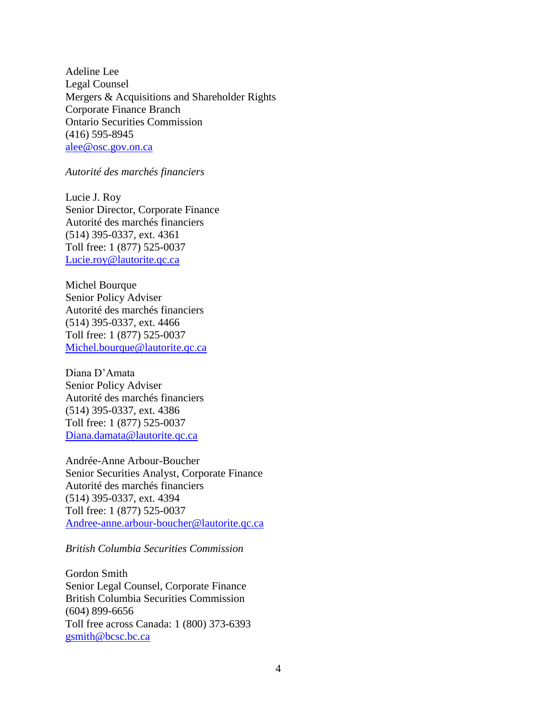Adeline Lee Legal Counsel Mergers & Acquisitions and Shareholder Rights Corporate Finance Branch Ontario Securities Commission (416) 595-8945 [alee@osc.gov.on.ca](mailto:alee@osc.gov.on.ca)

*Autorité des marchés financiers*

Lucie J. Roy Senior Director, Corporate Finance Autorité des marchés financiers (514) 395-0337, ext. 4361 Toll free: 1 (877) 525-0037 [Lucie.roy@lautorite.qc.ca](mailto:Lucie.roy@lautorite.qc.ca)

Michel Bourque Senior Policy Adviser Autorité des marchés financiers (514) 395-0337, ext. 4466 Toll free: 1 (877) 525-0037 [Michel.bourque@lautorite.qc.ca](mailto:Michel.bourque@lautorite.qc.ca)

Diana D'Amata Senior Policy Adviser Autorité des marchés financiers (514) 395-0337, ext. 4386 Toll free: 1 (877) 525-0037 [Diana.damata@lautorite.qc.ca](mailto:Diana.damata@lautorite.qc.ca)

Andrée-Anne Arbour-Boucher Senior Securities Analyst, Corporate Finance Autorité des marchés financiers (514) 395-0337, ext. 4394 Toll free: 1 (877) 525-0037 [Andree-anne.arbour-boucher@lautorite.qc.ca](mailto:Andree-anne.arbour-boucher@lautorite.qc.ca)

#### *British Columbia Securities Commission*

Gordon Smith Senior Legal Counsel, Corporate Finance British Columbia Securities Commission (604) 899-6656 Toll free across Canada: 1 (800) 373-6393 [gsmith@bcsc.bc.ca](mailto:gsmith@bcsc.bc.ca)